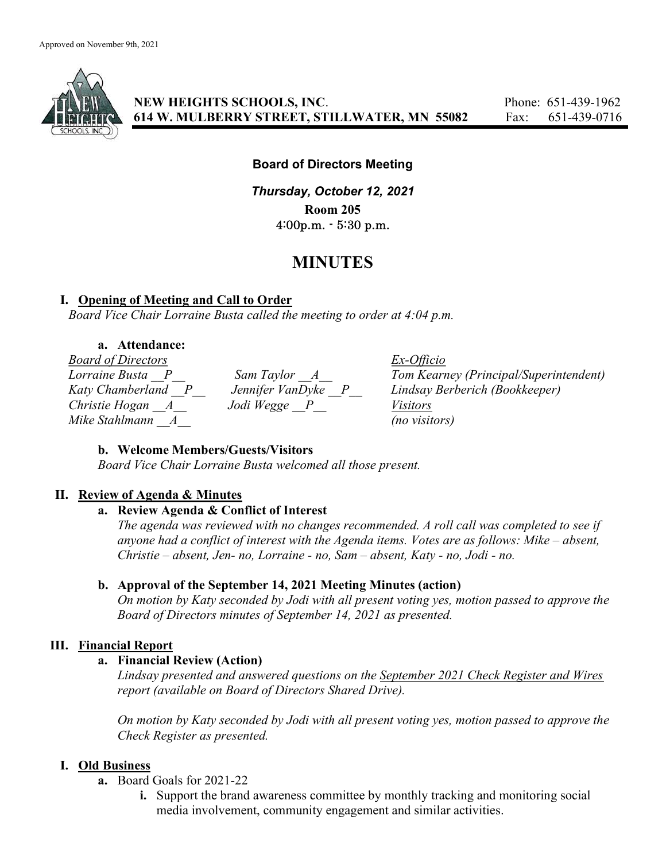

NEW HEIGHTS SCHOOLS, INC. Phone: 651-439-1962 614 W. MULBERRY STREET, STILLWATER, MN 55082 Fax: 651-439-0716

# Board of Directors Meeting

Thursday, October 12, 2021 Room 205 4:00p.m. - 5:30 p.m.

# MINUTES

# I. Opening of Meeting and Call to Order

Board Vice Chair Lorraine Busta called the meeting to order at 4:04 p.m.

# a. Attendance:

Board of Directors Ex-Officio Christie Hogan  $\overline{A}$   $\overline{A}$  Jodi Wegge  $\overline{P}$   $\overline{P}$  Visitors  $Mike$  Stahlmann  $\alpha$   $A$  (no visitors)

Lorraine Busta P Sam Taylor A Tom Kearney (Principal/Superintendent) Katy Chamberland P Jennifer VanDyke P Lindsay Berberich (Bookkeeper)

# b. Welcome Members/Guests/Visitors

Board Vice Chair Lorraine Busta welcomed all those present.

# II. Review of Agenda & Minutes

#### a. Review Agenda & Conflict of Interest

The agenda was reviewed with no changes recommended. A roll call was completed to see if anyone had a conflict of interest with the Agenda items. Votes are as follows: Mike – absent, Christie – absent, Jen- no, Lorraine - no, Sam – absent, Katy - no, Jodi - no.

# b. Approval of the September 14, 2021 Meeting Minutes (action)

On motion by Katy seconded by Jodi with all present voting yes, motion passed to approve the Board of Directors minutes of September 14, 2021 as presented.

# III. Financial Report

# a. Financial Review (Action)

Lindsay presented and answered questions on the September 2021 Check Register and Wires report (available on Board of Directors Shared Drive).

On motion by Katy seconded by Jodi with all present voting yes, motion passed to approve the Check Register as presented.

#### I. Old Business

- a. Board Goals for 2021-22
	- i. Support the brand awareness committee by monthly tracking and monitoring social media involvement, community engagement and similar activities.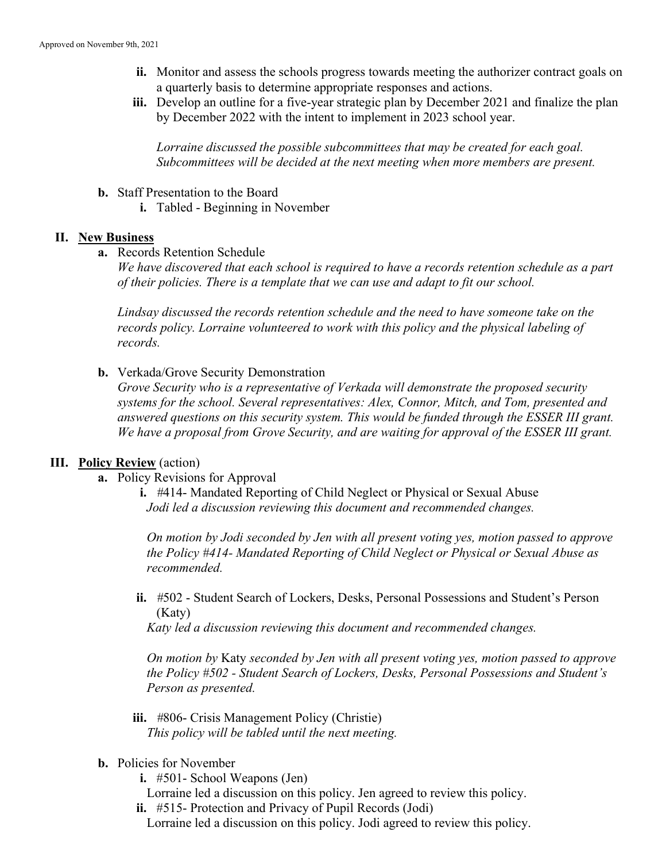- ii. Monitor and assess the schools progress towards meeting the authorizer contract goals on a quarterly basis to determine appropriate responses and actions.
- iii. Develop an outline for a five-year strategic plan by December 2021 and finalize the plan by December 2022 with the intent to implement in 2023 school year.

Lorraine discussed the possible subcommittees that may be created for each goal. Subcommittees will be decided at the next meeting when more members are present.

- b. Staff Presentation to the Board
	- i. Tabled Beginning in November

#### II. New Business

a. Records Retention Schedule

We have discovered that each school is required to have a records retention schedule as a part of their policies. There is a template that we can use and adapt to fit our school.

Lindsay discussed the records retention schedule and the need to have someone take on the records policy. Lorraine volunteered to work with this policy and the physical labeling of records.

b. Verkada/Grove Security Demonstration

Grove Security who is a representative of Verkada will demonstrate the proposed security systems for the school. Several representatives: Alex, Connor, Mitch, and Tom, presented and answered questions on this security system. This would be funded through the ESSER III grant. We have a proposal from Grove Security, and are waiting for approval of the ESSER III grant.

# III. Policy Review (action)

- a. Policy Revisions for Approval
	- i. #414- Mandated Reporting of Child Neglect or Physical or Sexual Abuse Jodi led a discussion reviewing this document and recommended changes.

On motion by Jodi seconded by Jen with all present voting yes, motion passed to approve the Policy #414- Mandated Reporting of Child Neglect or Physical or Sexual Abuse as recommended.

ii. #502 - Student Search of Lockers, Desks, Personal Possessions and Student's Person (Katy)

Katy led a discussion reviewing this document and recommended changes.

On motion by Katy seconded by Jen with all present voting yes, motion passed to approve the Policy #502 - Student Search of Lockers, Desks, Personal Possessions and Student's Person as presented.

- iii. #806- Crisis Management Policy (Christie) This policy will be tabled until the next meeting.
- b. Policies for November
	- i. #501- School Weapons (Jen)
	- Lorraine led a discussion on this policy. Jen agreed to review this policy.
	- ii. #515- Protection and Privacy of Pupil Records (Jodi) Lorraine led a discussion on this policy. Jodi agreed to review this policy.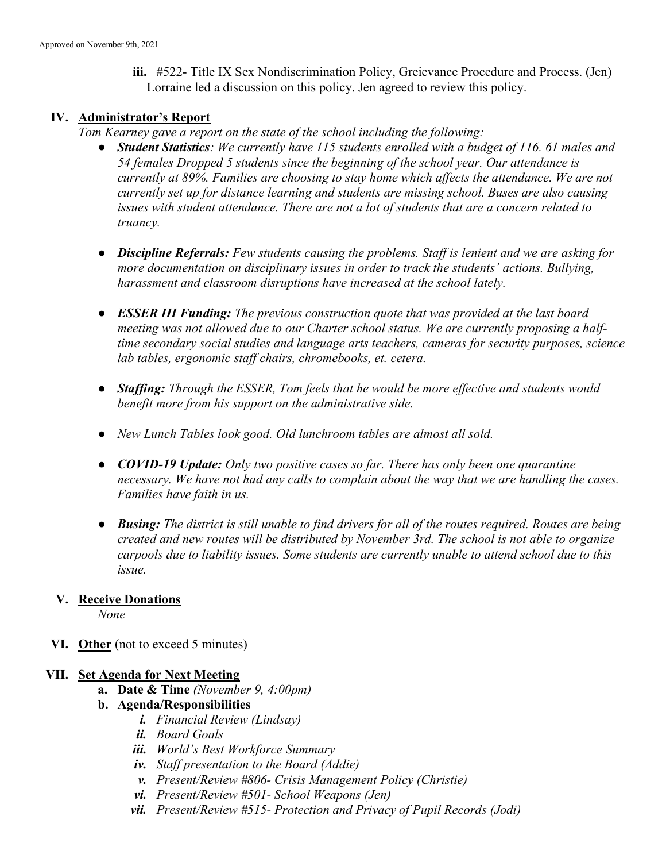iii. #522- Title IX Sex Nondiscrimination Policy, Greievance Procedure and Process. (Jen) Lorraine led a discussion on this policy. Jen agreed to review this policy.

#### IV. Administrator's Report

Tom Kearney gave a report on the state of the school including the following:

- Student Statistics: We currently have 115 students enrolled with a budget of 116. 61 males and 54 females Dropped 5 students since the beginning of the school year. Our attendance is currently at 89%. Families are choosing to stay home which affects the attendance. We are not currently set up for distance learning and students are missing school. Buses are also causing issues with student attendance. There are not a lot of students that are a concern related to truancy.
- Discipline Referrals: Few students causing the problems. Staff is lenient and we are asking for more documentation on disciplinary issues in order to track the students' actions. Bullying, harassment and classroom disruptions have increased at the school lately.
- **ESSER III Funding:** The previous construction quote that was provided at the last board meeting was not allowed due to our Charter school status. We are currently proposing a halftime secondary social studies and language arts teachers, cameras for security purposes, science lab tables, ergonomic staff chairs, chromebooks, et. cetera.
- Staffing: Through the ESSER, Tom feels that he would be more effective and students would benefit more from his support on the administrative side.
- New Lunch Tables look good. Old lunchroom tables are almost all sold.
- COVID-19 Update: Only two positive cases so far. There has only been one quarantine necessary. We have not had any calls to complain about the way that we are handling the cases. Families have faith in us.
- Busing: The district is still unable to find drivers for all of the routes required. Routes are being created and new routes will be distributed by November 3rd. The school is not able to organize carpools due to liability issues. Some students are currently unable to attend school due to this issue.

# V. Receive Donations

None

VI. Other (not to exceed 5 minutes)

#### VII. Set Agenda for Next Meeting

- a. Date & Time (November 9, 4:00pm)
- b. Agenda/Responsibilities
	- i. Financial Review (Lindsay)
	- ii. Board Goals
	- iii. World's Best Workforce Summary
	- iv. Staff presentation to the Board (Addie)
	- v. Present/Review #806- Crisis Management Policy (Christie)
	- vi. Present/Review #501- School Weapons (Jen)
	- vii. Present/Review #515- Protection and Privacy of Pupil Records (Jodi)